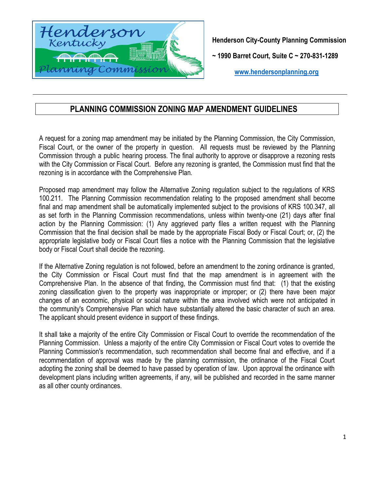

**Henderson City-County Planning Commission** 

**~ 1990 Barret Court, Suite C ~ 270-831-1289**

**[www.hendersonplanning.org](http://www.hendersonplanning.org/)**

# **PLANNING COMMISSION ZONING MAP AMENDMENT GUIDELINES**

A request for a zoning map amendment may be initiated by the Planning Commission, the City Commission, Fiscal Court, or the owner of the property in question. All requests must be reviewed by the Planning Commission through a public hearing process. The final authority to approve or disapprove a rezoning rests with the City Commission or Fiscal Court. Before any rezoning is granted, the Commission must find that the rezoning is in accordance with the Comprehensive Plan.

Proposed map amendment may follow the Alternative Zoning regulation subject to the regulations of KRS 100.211. The Planning Commission recommendation relating to the proposed amendment shall become final and map amendment shall be automatically implemented subject to the provisions of KRS 100.347, all as set forth in the Planning Commission recommendations, unless within twenty-one (21) days after final action by the Planning Commission: (1) Any aggrieved party files a written request with the Planning Commission that the final decision shall be made by the appropriate Fiscal Body or Fiscal Court; or, (2) the appropriate legislative body or Fiscal Court files a notice with the Planning Commission that the legislative body or Fiscal Court shall decide the rezoning.

If the Alternative Zoning regulation is not followed, before an amendment to the zoning ordinance is granted, the City Commission or Fiscal Court must find that the map amendment is in agreement with the Comprehensive Plan. In the absence of that finding, the Commission must find that: (1) that the existing zoning classification given to the property was inappropriate or improper; or (2) there have been major changes of an economic, physical or social nature within the area involved which were not anticipated in the community's Comprehensive Plan which have substantially altered the basic character of such an area. The applicant should present evidence in support of these findings.

It shall take a majority of the entire City Commission or Fiscal Court to override the recommendation of the Planning Commission. Unless a majority of the entire City Commission or Fiscal Court votes to override the Planning Commission's recommendation, such recommendation shall become final and effective, and if a recommendation of approval was made by the planning commission, the ordinance of the Fiscal Court adopting the zoning shall be deemed to have passed by operation of law. Upon approval the ordinance with development plans including written agreements, if any, will be published and recorded in the same manner as all other county ordinances.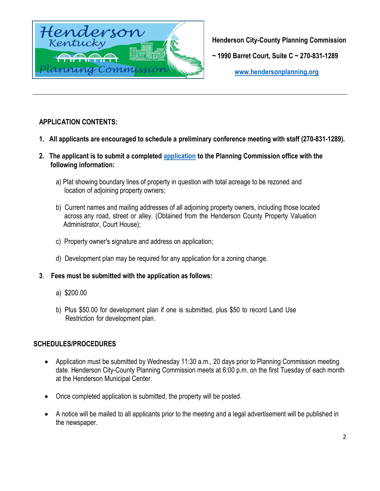

**Henderson City-County Planning Commission** 

**~ 1990 Barret Court, Suite C ~ 270-831-1289**

**[www.hendersonplanning.org](http://www.hendersonplanning.org/)**

# **APPLICATION CONTENTS:**

- **1. All applicants are encouraged to schedule a preliminary conference meeting with staff (270-831-1289).**
- **2. The applicant is to submit a completed [application](http://www.hendersonplanning.org/) to the Planning Commission office with the following information:**
	- a) Plat showing boundary lines of property in question with total acreage to be rezoned and location of adjoining property owners;
	- b) Current names and mailing addresses of all adjoining property owners, including those located across any road, street or alley. (Obtained from the Henderson County Property Valuation Administrator, Court House);
	- c) Property owner's signature and address on application;
	- d) Development plan may be required for any application for a zoning change.
- **3**. **Fees must be submitted with the application as follows:**
	- a) \$200.00
	- b) Plus \$50.00 for development plan if one is submitted, plus \$50 to record Land Use Restriction for development plan.

## **SCHEDULES/PROCEDURES**

- Application must be submitted by Wednesday 11:30 a.m., 20 days prior to Planning Commission meeting date. Henderson City-County Planning Commission meets at 6:00 p.m. on the first Tuesday of each month at the Henderson Municipal Center.
- Once completed application is submitted, the property will be posted.
- A notice will be mailed to all applicants prior to the meeting and a legal advertisement will be published in the newspaper.